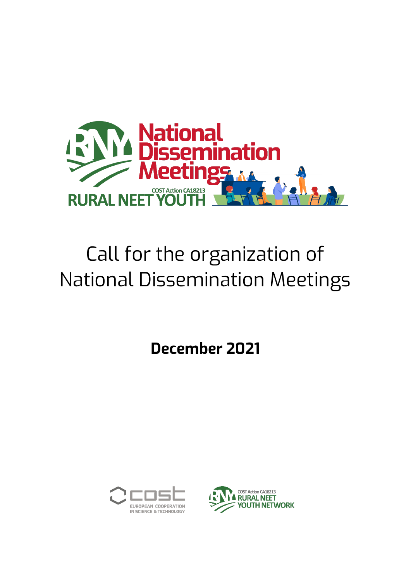

# Call for the organization of National Dissemination Meetings

**December 2021**



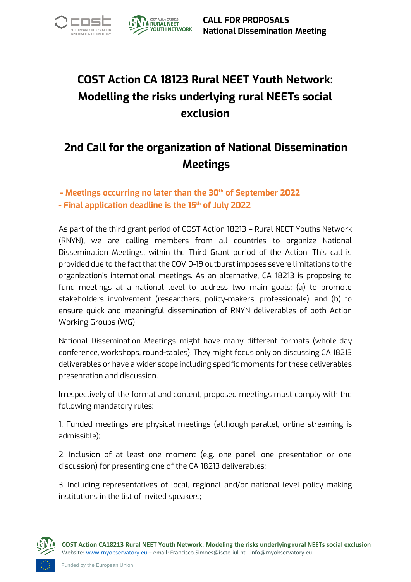



# **COST Action CA 18123 Rural NEET Youth Network: Modelling the risks underlying rural NEETs social exclusion**

## **2nd Call for the organization of National Dissemination Meetings**

**- Meetings occurring no later than the 30th of September 2022**

**- Final application deadline is the 15th of July 2022**

As part of the third grant period of COST Action 18213 – Rural NEET Youths Network (RNYN), we are calling members from all countries to organize National Dissemination Meetings, within the Third Grant period of the Action. This call is provided due to the fact that the COVID-19 outburst imposes severe limitations to the organization's international meetings. As an alternative, CA 18213 is proposing to fund meetings at a national level to address two main goals: (a) to promote stakeholders involvement (researchers, policy-makers, professionals); and (b) to ensure quick and meaningful dissemination of RNYN deliverables of both Action Working Groups (WG).

National Dissemination Meetings might have many different formats (whole-day conference, workshops, round-tables). They might focus only on discussing CA 18213 deliverables or have a wider scope including specific moments for these deliverables presentation and discussion.

Irrespectively of the format and content, proposed meetings must comply with the following mandatory rules:

1. Funded meetings are physical meetings (although parallel, online streaming is admissible);

2. Inclusion of at least one moment (e.g. one panel, one presentation or one discussion) for presenting one of the CA 18213 deliverables;

3. Including representatives of local, regional and/or national level policy-making institutions in the list of invited speakers;

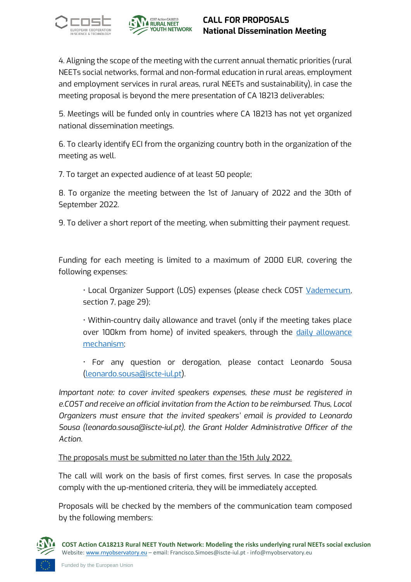



## **CALL FOR PROPOSALS National Dissemination Meeting**

4. Aligning the scope of the meeting with the current annual thematic priorities (rural NEETs social networks, formal and non-formal education in rural areas, employment and employment services in rural areas, rural NEETs and sustainability), in case the meeting proposal is beyond the mere presentation of CA 18213 deliverables;

5. Meetings will be funded only in countries where CA 18213 has not yet organized national dissemination meetings.

6. To clearly identify ECI from the organizing country both in the organization of the meeting as well.

7. To target an expected audience of at least 50 people;

8. To organize the meeting between the 1st of January of 2022 and the 30th of September 2022.

9. To deliver a short report of the meeting, when submitting their payment request.

Funding for each meeting is limited to a maximum of 2000 EUR, covering the following expenses:

• Local Organizer Support (LOS) expenses (please check COST [Vademecum,](https://www.cost.eu/uploads/2021/04/Vademecum-28-April-2021.pdf)  section 7, page 29);

• Within-country daily allowance and travel (only if the meeting takes place over 100km from home) of invited speakers, through the [daily allowance](https://www.cost.eu/cost-actions/daily-allowance-qa/#:~:text=Daily%20allowance%20is%20COST,where%20the%20meeting%20takes%20place.)  [mechanism;](https://www.cost.eu/cost-actions/daily-allowance-qa/#:~:text=Daily%20allowance%20is%20COST,where%20the%20meeting%20takes%20place.)

• For any question or derogation, please contact Leonardo Sousa [\(leonardo.sousa@iscte-iul.pt\)](mailto:leonardo.sousa@iscte-iul.pt).

*Important note: to cover invited speakers expenses, these must be registered in e.COST and receive an official invitation from the Action to be reimbursed. Thus, Local Organizers must ensure that the invited speakers' email is provided to Leonardo Sousa (leonardo.sousa@iscte-iul.pt), the Grant Holder Administrative Officer of the Action.*

The proposals must be submitted no later than the 15th July 2022.

The call will work on the basis of first comes, first serves. In case the proposals comply with the up-mentioned criteria, they will be immediately accepted.

Proposals will be checked by the members of the communication team composed by the following members:

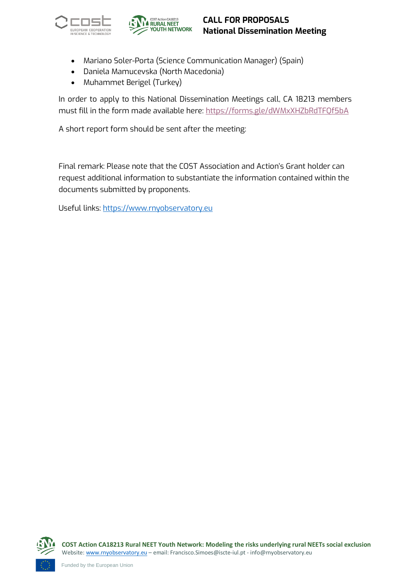



## **CALL FOR PROPOSALS National Dissemination Meeting**

- Mariano Soler-Porta (Science Communication Manager) (Spain)
- Daniela Mamucevska (North Macedonia)
- Muhammet Berigel (Turkey)

In order to apply to this National Dissemination Meetings call, CA 18213 members must fill in the form made available here:<https://forms.gle/dWMxXHZbRdTFQf5bA>

A short report form should be sent after the meeting:

Final remark: Please note that the COST Association and Action's Grant holder can request additional information to substantiate the information contained within the documents submitted by proponents.

Useful links: [https://www.rnyobservatory.eu](https://www.rnyobservatory.eu/)

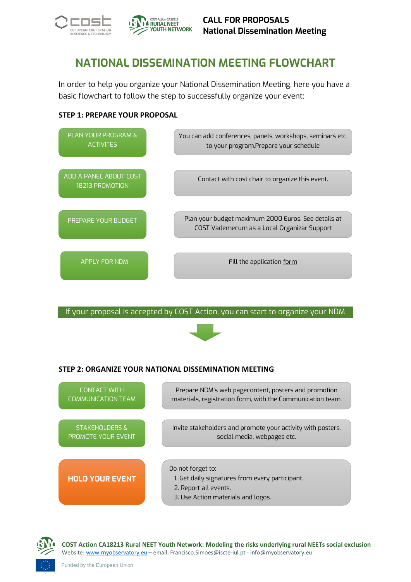



## **NATIONAL DISSEMINATION MEETING FLOWCHART**

In order to help you organize your National Dissemination Meeting, here you have a basic flowchart to follow the step to successfully organize your event:

#### **STEP 1: PREPARE YOUR PROPOSAL**



If your proposal is accepted by COST Action, you can start to organize your NDM



#### **STEP 2: ORGANIZE YOUR NATIONAL DISSEMINATION MEETING**





**COST Action CA18213 Rural NEET Youth Network: Modeling the risks underlying rural NEETs social exclusion** Website[: www.rnyobservatory.eu](http://www.rnyobservatory.eu/) – email: Francisco.Simoes@iscte-iul.pt - info@rnyobservatory.eu